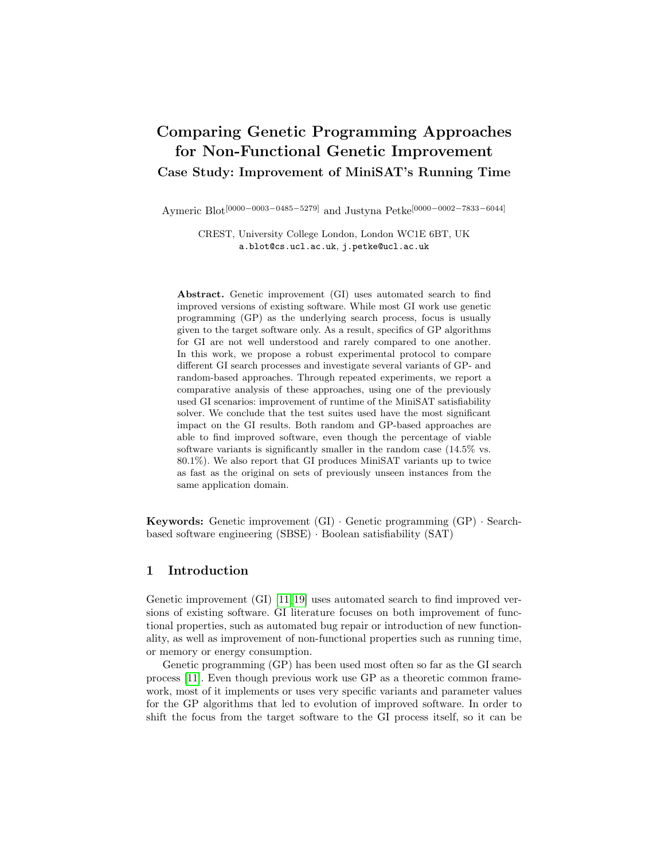# Comparing Genetic Programming Approaches for Non-Functional Genetic Improvement Case Study: Improvement of MiniSAT's Running Time

Aymeric Blot[0000−0003−0485−5279] and Justyna Petke[0000−0002−7833−6044]

CREST, University College London, London WC1E 6BT, UK a.blot@cs.ucl.ac.uk, j.petke@ucl.ac.uk

Abstract. Genetic improvement (GI) uses automated search to find improved versions of existing software. While most GI work use genetic programming (GP) as the underlying search process, focus is usually given to the target software only. As a result, specifics of GP algorithms for GI are not well understood and rarely compared to one another. In this work, we propose a robust experimental protocol to compare different GI search processes and investigate several variants of GP- and random-based approaches. Through repeated experiments, we report a comparative analysis of these approaches, using one of the previously used GI scenarios: improvement of runtime of the MiniSAT satisfiability solver. We conclude that the test suites used have the most significant impact on the GI results. Both random and GP-based approaches are able to find improved software, even though the percentage of viable software variants is significantly smaller in the random case (14.5% vs. 80.1%). We also report that GI produces MiniSAT variants up to twice as fast as the original on sets of previously unseen instances from the same application domain.

Keywords: Genetic improvement (GI) · Genetic programming (GP) · Searchbased software engineering (SBSE) · Boolean satisfiability (SAT)

# 1 Introduction

Genetic improvement (GI) [\[11,](#page-15-0) [19\]](#page-15-1) uses automated search to find improved versions of existing software. GI literature focuses on both improvement of functional properties, such as automated bug repair or introduction of new functionality, as well as improvement of non-functional properties such as running time, or memory or energy consumption.

Genetic programming (GP) has been used most often so far as the GI search process [\[11\]](#page-15-0). Even though previous work use GP as a theoretic common framework, most of it implements or uses very specific variants and parameter values for the GP algorithms that led to evolution of improved software. In order to shift the focus from the target software to the GI process itself, so it can be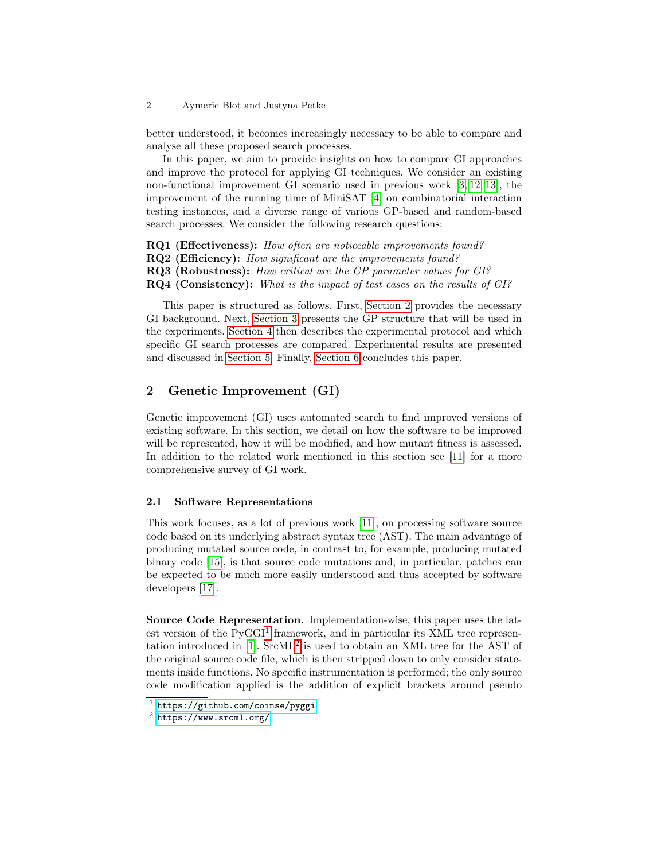better understood, it becomes increasingly necessary to be able to compare and analyse all these proposed search processes.

In this paper, we aim to provide insights on how to compare GI approaches and improve the protocol for applying GI techniques. We consider an existing non-functional improvement GI scenario used in previous work [\[3,](#page-14-0) [12,](#page-15-2) [13\]](#page-15-3), the improvement of the running time of MiniSAT [\[4\]](#page-14-1) on combinatorial interaction testing instances, and a diverse range of various GP-based and random-based search processes. We consider the following research questions:

RQ1 (Effectiveness): How often are noticeable improvements found? RQ2 (Efficiency): How significant are the improvements found? RQ3 (Robustness): How critical are the GP parameter values for GI? RQ4 (Consistency): What is the impact of test cases on the results of GI?

This paper is structured as follows. First, [Section 2](#page-1-0) provides the necessary GI background. Next, [Section 3](#page-2-0) presents the GP structure that will be used in the experiments. [Section 4](#page-3-0) then describes the experimental protocol and which specific GI search processes are compared. Experimental results are presented and discussed in [Section 5.](#page-8-0) Finally, [Section 6](#page-13-0) concludes this paper.

# <span id="page-1-0"></span>2 Genetic Improvement (GI)

Genetic improvement (GI) uses automated search to find improved versions of existing software. In this section, we detail on how the software to be improved will be represented, how it will be modified, and how mutant fitness is assessed. In addition to the related work mentioned in this section see [\[11\]](#page-15-0) for a more comprehensive survey of GI work.

# 2.1 Software Representations

This work focuses, as a lot of previous work [\[11\]](#page-15-0), on processing software source code based on its underlying abstract syntax tree (AST). The main advantage of producing mutated source code, in contrast to, for example, producing mutated binary code [\[15\]](#page-15-4), is that source code mutations and, in particular, patches can be expected to be much more easily understood and thus accepted by software developers [\[17\]](#page-15-5).

Source Code Representation. Implementation-wise, this paper uses the latest version of the  $PyGGI<sup>1</sup>$  $PyGGI<sup>1</sup>$  $PyGGI<sup>1</sup>$  framework, and in particular its XML tree represen-tation introduced in [\[1\]](#page-14-2).  $SrcML^2$  $SrcML^2$  is used to obtain an XML tree for the AST of the original source code file, which is then stripped down to only consider statements inside functions. No specific instrumentation is performed; the only source code modification applied is the addition of explicit brackets around pseudo

<span id="page-1-1"></span><sup>1</sup> <https://github.com/coinse/pyggi>

<span id="page-1-2"></span> $^2$  <https://www.srcml.org/>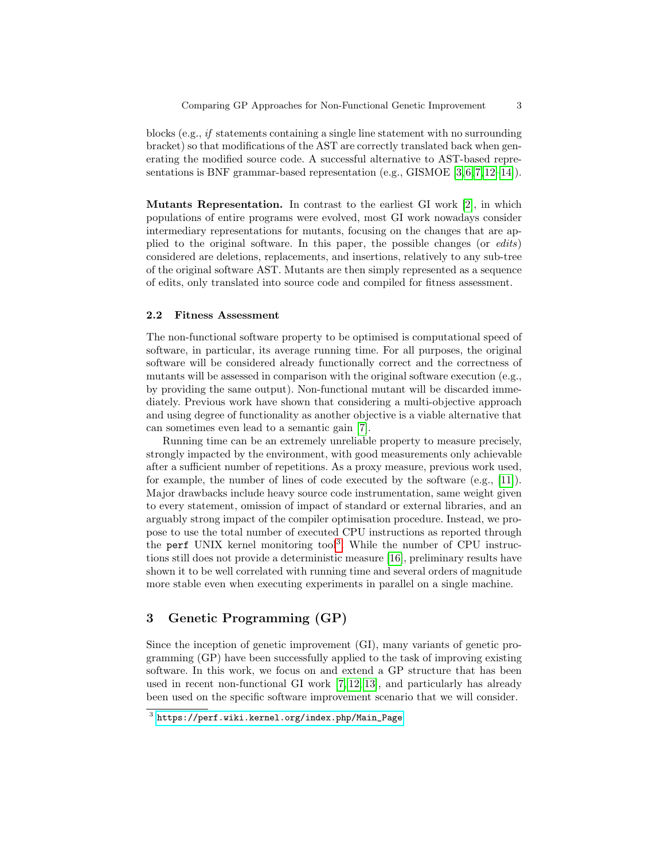blocks (e.g., if statements containing a single line statement with no surrounding bracket) so that modifications of the AST are correctly translated back when generating the modified source code. A successful alternative to AST-based representations is BNF grammar-based representation (e.g., GISMOE [\[3,](#page-14-0)[6,](#page-14-3)[7,](#page-15-6)[12–](#page-15-2)[14\]](#page-15-7)).

Mutants Representation. In contrast to the earliest GI work [\[2\]](#page-14-4), in which populations of entire programs were evolved, most GI work nowadays consider intermediary representations for mutants, focusing on the changes that are applied to the original software. In this paper, the possible changes (or edits) considered are deletions, replacements, and insertions, relatively to any sub-tree of the original software AST. Mutants are then simply represented as a sequence of edits, only translated into source code and compiled for fitness assessment.

# 2.2 Fitness Assessment

The non-functional software property to be optimised is computational speed of software, in particular, its average running time. For all purposes, the original software will be considered already functionally correct and the correctness of mutants will be assessed in comparison with the original software execution (e.g., by providing the same output). Non-functional mutant will be discarded immediately. Previous work have shown that considering a multi-objective approach and using degree of functionality as another objective is a viable alternative that can sometimes even lead to a semantic gain [\[7\]](#page-15-6).

Running time can be an extremely unreliable property to measure precisely, strongly impacted by the environment, with good measurements only achievable after a sufficient number of repetitions. As a proxy measure, previous work used, for example, the number of lines of code executed by the software (e.g., [\[11\]](#page-15-0)). Major drawbacks include heavy source code instrumentation, same weight given to every statement, omission of impact of standard or external libraries, and an arguably strong impact of the compiler optimisation procedure. Instead, we propose to use the total number of executed CPU instructions as reported through the perf UNIX kernel monitoring tool<sup>[3](#page-2-1)</sup>. While the number of CPU instructions still does not provide a deterministic measure [\[16\]](#page-15-8), preliminary results have shown it to be well correlated with running time and several orders of magnitude more stable even when executing experiments in parallel on a single machine.

# <span id="page-2-0"></span>3 Genetic Programming (GP)

Since the inception of genetic improvement (GI), many variants of genetic programming (GP) have been successfully applied to the task of improving existing software. In this work, we focus on and extend a GP structure that has been used in recent non-functional GI work [\[7,](#page-15-6) [12,](#page-15-2) [13\]](#page-15-3), and particularly has already been used on the specific software improvement scenario that we will consider.

<span id="page-2-1"></span> $^3$  [https://perf.wiki.kernel.org/index.php/Main\\_Page](https://perf.wiki.kernel.org/index.php/Main_Page)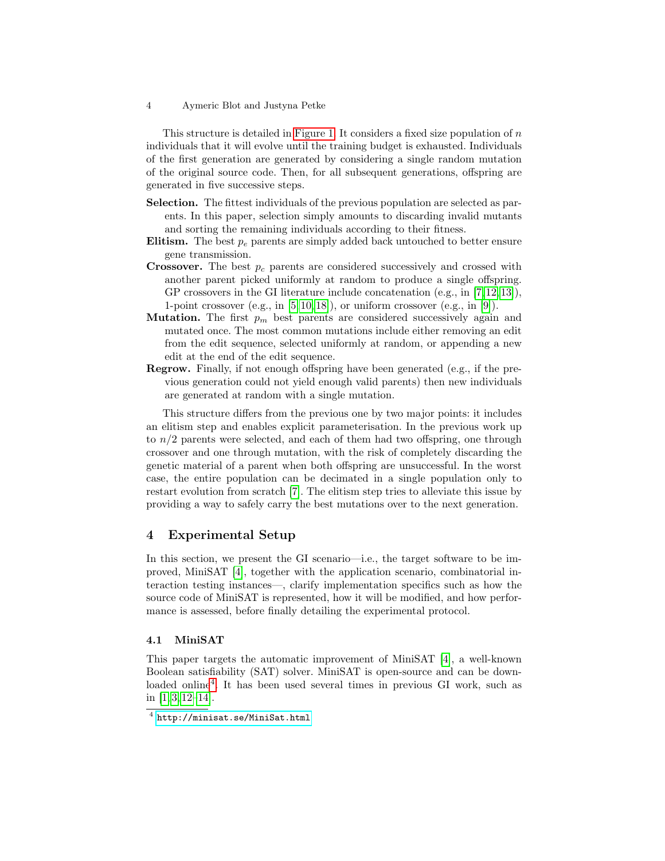This structure is detailed in [Figure 1.](#page-4-0) It considers a fixed size population of  $n$ individuals that it will evolve until the training budget is exhausted. Individuals of the first generation are generated by considering a single random mutation of the original source code. Then, for all subsequent generations, offspring are generated in five successive steps.

- Selection. The fittest individuals of the previous population are selected as parents. In this paper, selection simply amounts to discarding invalid mutants and sorting the remaining individuals according to their fitness.
- **Elitism.** The best  $p_e$  parents are simply added back untouched to better ensure gene transmission.
- **Crossover.** The best  $p_c$  parents are considered successively and crossed with another parent picked uniformly at random to produce a single offspring. GP crossovers in the GI literature include concatenation (e.g., in [\[7,](#page-15-6) [12,](#page-15-2) [13\]](#page-15-3)), 1-point crossover  $(e.g., in [5, 10, 18])$  $(e.g., in [5, 10, 18])$  $(e.g., in [5, 10, 18])$  $(e.g., in [5, 10, 18])$  $(e.g., in [5, 10, 18])$ , or uniform crossover  $(e.g., in [9])$  $(e.g., in [9])$  $(e.g., in [9])$ .
- **Mutation.** The first  $p_m$  best parents are considered successively again and mutated once. The most common mutations include either removing an edit from the edit sequence, selected uniformly at random, or appending a new edit at the end of the edit sequence.
- Regrow. Finally, if not enough offspring have been generated (e.g., if the previous generation could not yield enough valid parents) then new individuals are generated at random with a single mutation.

This structure differs from the previous one by two major points: it includes an elitism step and enables explicit parameterisation. In the previous work up to  $n/2$  parents were selected, and each of them had two offspring, one through crossover and one through mutation, with the risk of completely discarding the genetic material of a parent when both offspring are unsuccessful. In the worst case, the entire population can be decimated in a single population only to restart evolution from scratch [\[7\]](#page-15-6). The elitism step tries to alleviate this issue by providing a way to safely carry the best mutations over to the next generation.

# <span id="page-3-0"></span>4 Experimental Setup

In this section, we present the GI scenario—i.e., the target software to be improved, MiniSAT [\[4\]](#page-14-1), together with the application scenario, combinatorial interaction testing instances—, clarify implementation specifics such as how the source code of MiniSAT is represented, how it will be modified, and how performance is assessed, before finally detailing the experimental protocol.

# 4.1 MiniSAT

This paper targets the automatic improvement of MiniSAT [\[4\]](#page-14-1), a well-known Boolean satisfiability (SAT) solver. MiniSAT is open-source and can be down-loaded online<sup>[4](#page-3-1)</sup>. It has been used several times in previous GI work, such as in [\[1,](#page-14-2) [3,](#page-14-0) [12](#page-15-2)[–14\]](#page-15-7).

<span id="page-3-1"></span> $^4$  <http://minisat.se/MiniSat.html>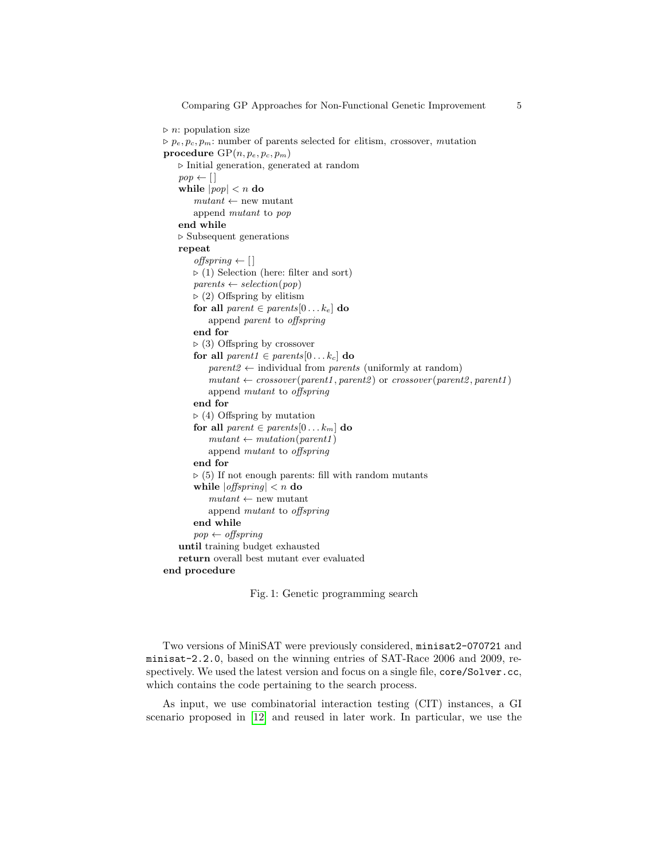```
\triangleright n: population size
p_e, p_c, p_m: number of parents selected for elitism, crossover, mutation
procedure GP(n, p_e, p_c, p_m). Initial generation, generated at random
    pop \leftarrow [while |pop| < n do
        mutant \leftarrow new mutantappend mutant to pop
    end while
    \triangleright Subsequent generations
    repeat
        offspring \leftarrow []\triangleright (1) Selection (here: filter and sort)
        parents \leftarrow selection(pop)\triangleright (2) Offspring by elitism
        for all parent \in parents[0...k_e] do
            append parent to offspring
        end for
        \triangleright (3) Offspring by crossover
        for all parent1 \in parents[0...k<sub>c</sub>] do
            parent2 \leftarrow individual from parents (uniformly at random)mutant \leftarrow crossover(parent1, parent2) or crossover(parent2, parent1)append mutant to offspring
        end for
        \triangleright (4) Offspring by mutation
        for all parent \in parents[0...k_m] do
            mutant \leftarrow mutation(parent1)append mutant to offspring
        end for
        \triangleright (5) If not enough parents: fill with random mutants
        while |offspring| < n do
            mutant \leftarrow \text{new mutant}append mutant to offspring
        end while
        pop \leftarrow offspring
    until training budget exhausted
    return overall best mutant ever evaluated
end procedure
```
Fig. 1: Genetic programming search

Two versions of MiniSAT were previously considered, minisat2-070721 and minisat-2.2.0, based on the winning entries of SAT-Race 2006 and 2009, respectively. We used the latest version and focus on a single file, core/Solver.cc, which contains the code pertaining to the search process.

As input, we use combinatorial interaction testing (CIT) instances, a GI scenario proposed in [\[12\]](#page-15-2) and reused in later work. In particular, we use the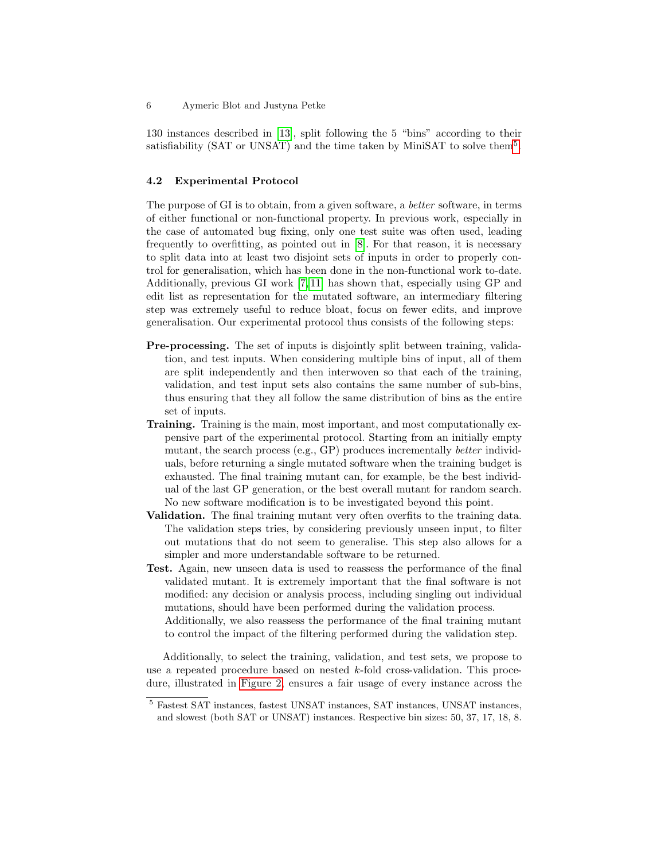130 instances described in [\[13\]](#page-15-3), split following the 5 "bins" according to their satisfiability (SAT or UNSAT) and the time taken by MiniSAT to solve them<sup>[5](#page-5-0)</sup>.

### 4.2 Experimental Protocol

The purpose of GI is to obtain, from a given software, a better software, in terms of either functional or non-functional property. In previous work, especially in the case of automated bug fixing, only one test suite was often used, leading frequently to overfitting, as pointed out in [\[8\]](#page-15-12). For that reason, it is necessary to split data into at least two disjoint sets of inputs in order to properly control for generalisation, which has been done in the non-functional work to-date. Additionally, previous GI work [\[7,](#page-15-6) [11\]](#page-15-0) has shown that, especially using GP and edit list as representation for the mutated software, an intermediary filtering step was extremely useful to reduce bloat, focus on fewer edits, and improve generalisation. Our experimental protocol thus consists of the following steps:

- Pre-processing. The set of inputs is disjointly split between training, validation, and test inputs. When considering multiple bins of input, all of them are split independently and then interwoven so that each of the training, validation, and test input sets also contains the same number of sub-bins, thus ensuring that they all follow the same distribution of bins as the entire set of inputs.
- Training. Training is the main, most important, and most computationally expensive part of the experimental protocol. Starting from an initially empty mutant, the search process (e.g.,  $GP$ ) produces incrementally *better* individuals, before returning a single mutated software when the training budget is exhausted. The final training mutant can, for example, be the best individual of the last GP generation, or the best overall mutant for random search. No new software modification is to be investigated beyond this point.
- Validation. The final training mutant very often overfits to the training data. The validation steps tries, by considering previously unseen input, to filter out mutations that do not seem to generalise. This step also allows for a simpler and more understandable software to be returned.
- Test. Again, new unseen data is used to reassess the performance of the final validated mutant. It is extremely important that the final software is not modified: any decision or analysis process, including singling out individual mutations, should have been performed during the validation process.

Additionally, we also reassess the performance of the final training mutant to control the impact of the filtering performed during the validation step.

Additionally, to select the training, validation, and test sets, we propose to use a repeated procedure based on nested k-fold cross-validation. This procedure, illustrated in [Figure 2,](#page-6-0) ensures a fair usage of every instance across the

<span id="page-5-0"></span><sup>5</sup> Fastest SAT instances, fastest UNSAT instances, SAT instances, UNSAT instances, and slowest (both SAT or UNSAT) instances. Respective bin sizes: 50, 37, 17, 18, 8.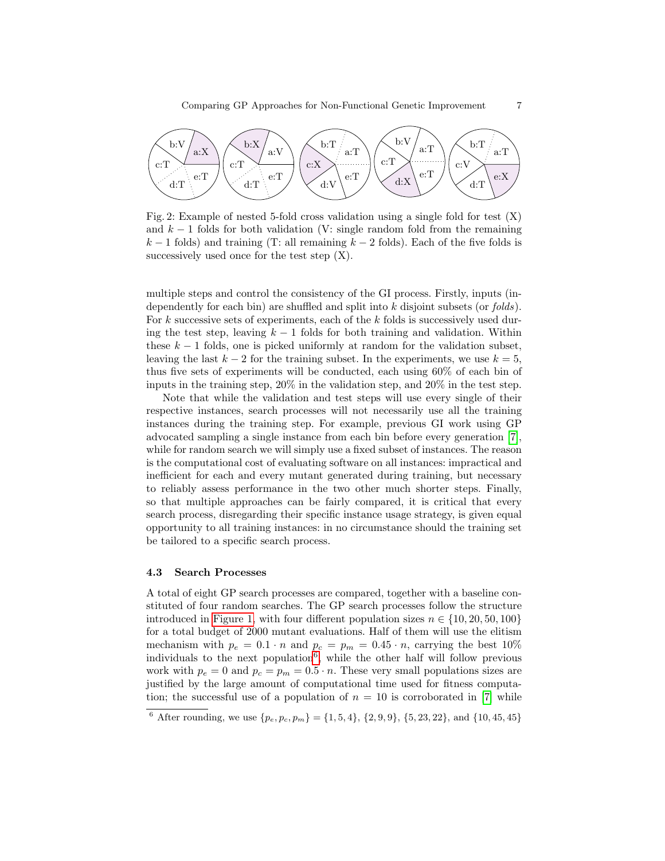<span id="page-6-0"></span>

Fig. 2: Example of nested 5-fold cross validation using a single fold for test  $(X)$ and  $k-1$  folds for both validation (V: single random fold from the remaining  $k-1$  folds) and training (T: all remaining  $k-2$  folds). Each of the five folds is successively used once for the test step  $(X)$ .

multiple steps and control the consistency of the GI process. Firstly, inputs (independently for each bin) are shuffled and split into k disjoint subsets (or *folds*). For k successive sets of experiments, each of the k folds is successively used during the test step, leaving  $k - 1$  folds for both training and validation. Within these  $k - 1$  folds, one is picked uniformly at random for the validation subset, leaving the last  $k - 2$  for the training subset. In the experiments, we use  $k = 5$ , thus five sets of experiments will be conducted, each using 60% of each bin of inputs in the training step, 20% in the validation step, and 20% in the test step.

Note that while the validation and test steps will use every single of their respective instances, search processes will not necessarily use all the training instances during the training step. For example, previous GI work using GP advocated sampling a single instance from each bin before every generation [\[7\]](#page-15-6), while for random search we will simply use a fixed subset of instances. The reason is the computational cost of evaluating software on all instances: impractical and inefficient for each and every mutant generated during training, but necessary to reliably assess performance in the two other much shorter steps. Finally, so that multiple approaches can be fairly compared, it is critical that every search process, disregarding their specific instance usage strategy, is given equal opportunity to all training instances: in no circumstance should the training set be tailored to a specific search process.

# 4.3 Search Processes

A total of eight GP search processes are compared, together with a baseline constituted of four random searches. The GP search processes follow the structure introduced in [Figure 1,](#page-4-0) with four different population sizes  $n \in \{10, 20, 50, 100\}$ for a total budget of 2000 mutant evaluations. Half of them will use the elitism mechanism with  $p_e = 0.1 \cdot n$  and  $p_c = p_m = 0.45 \cdot n$ , carrying the best  $10\%$ individuals to the next population<sup>[6](#page-6-1)</sup>, while the other half will follow previous work with  $p_e = 0$  and  $p_c = p_m = 0.5 \cdot n$ . These very small populations sizes are justified by the large amount of computational time used for fitness computation; the successful use of a population of  $n = 10$  is corroborated in [\[7\]](#page-15-6) while

<span id="page-6-1"></span><sup>&</sup>lt;sup>6</sup> After rounding, we use  $\{p_e, p_c, p_m\} = \{1, 5, 4\}, \{2, 9, 9\}, \{5, 23, 22\}, \text{ and } \{10, 45, 45\}$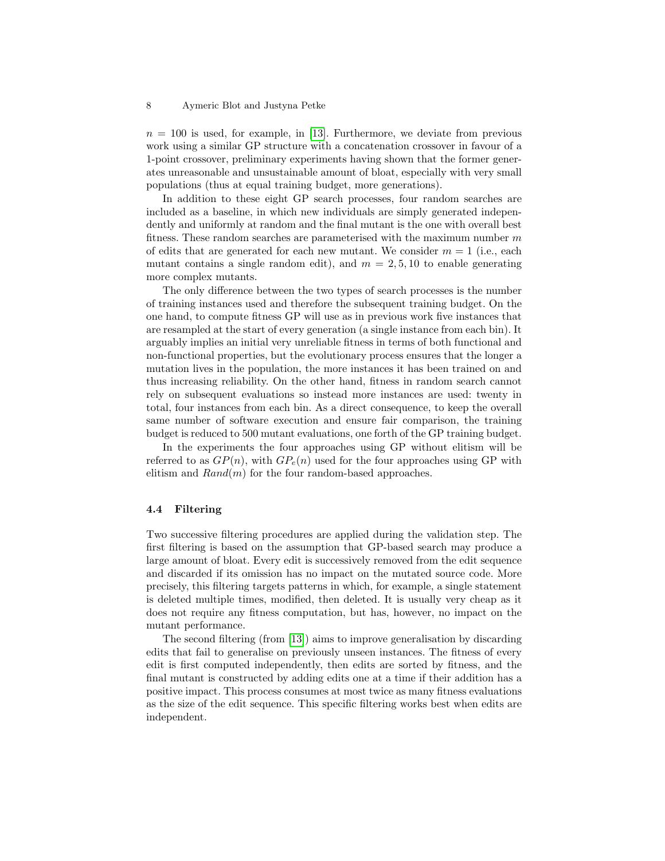$n = 100$  is used, for example, in [\[13\]](#page-15-3). Furthermore, we deviate from previous work using a similar GP structure with a concatenation crossover in favour of a 1-point crossover, preliminary experiments having shown that the former generates unreasonable and unsustainable amount of bloat, especially with very small populations (thus at equal training budget, more generations).

In addition to these eight GP search processes, four random searches are included as a baseline, in which new individuals are simply generated independently and uniformly at random and the final mutant is the one with overall best fitness. These random searches are parameterised with the maximum number  $m$ of edits that are generated for each new mutant. We consider  $m = 1$  (i.e., each mutant contains a single random edit), and  $m = 2, 5, 10$  to enable generating more complex mutants.

The only difference between the two types of search processes is the number of training instances used and therefore the subsequent training budget. On the one hand, to compute fitness GP will use as in previous work five instances that are resampled at the start of every generation (a single instance from each bin). It arguably implies an initial very unreliable fitness in terms of both functional and non-functional properties, but the evolutionary process ensures that the longer a mutation lives in the population, the more instances it has been trained on and thus increasing reliability. On the other hand, fitness in random search cannot rely on subsequent evaluations so instead more instances are used: twenty in total, four instances from each bin. As a direct consequence, to keep the overall same number of software execution and ensure fair comparison, the training budget is reduced to 500 mutant evaluations, one forth of the GP training budget.

In the experiments the four approaches using GP without elitism will be referred to as  $GP(n)$ , with  $GP_e(n)$  used for the four approaches using GP with elitism and  $Rand(m)$  for the four random-based approaches.

#### 4.4 Filtering

Two successive filtering procedures are applied during the validation step. The first filtering is based on the assumption that GP-based search may produce a large amount of bloat. Every edit is successively removed from the edit sequence and discarded if its omission has no impact on the mutated source code. More precisely, this filtering targets patterns in which, for example, a single statement is deleted multiple times, modified, then deleted. It is usually very cheap as it does not require any fitness computation, but has, however, no impact on the mutant performance.

The second filtering (from [\[13\]](#page-15-3)) aims to improve generalisation by discarding edits that fail to generalise on previously unseen instances. The fitness of every edit is first computed independently, then edits are sorted by fitness, and the final mutant is constructed by adding edits one at a time if their addition has a positive impact. This process consumes at most twice as many fitness evaluations as the size of the edit sequence. This specific filtering works best when edits are independent.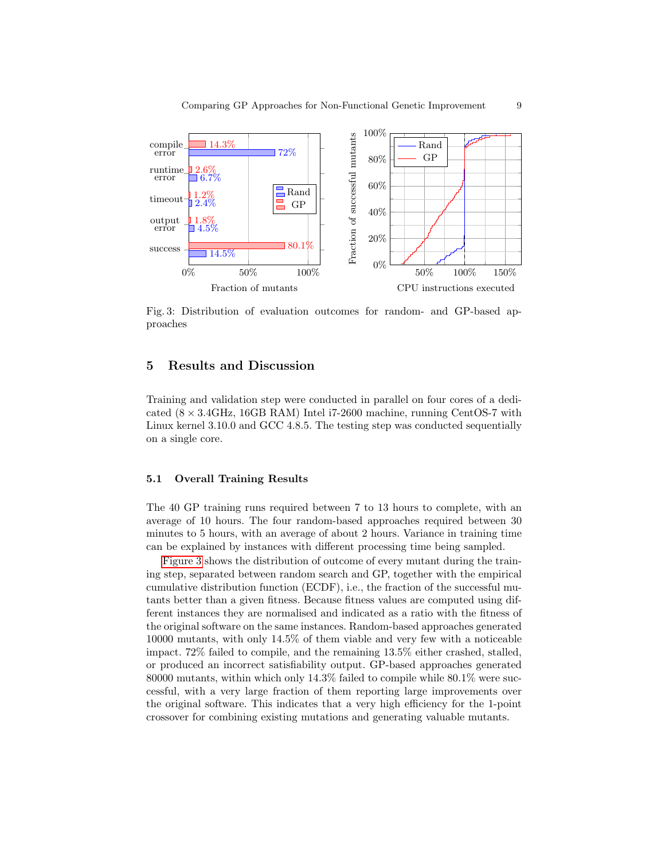<span id="page-8-1"></span>

Fig. 3: Distribution of evaluation outcomes for random- and GP-based approaches

# <span id="page-8-0"></span>5 Results and Discussion

Training and validation step were conducted in parallel on four cores of a dedicated  $(8 \times 3.4\text{GHz}, 16\text{GB RAM})$  Intel i7-2600 machine, running CentOS-7 with Linux kernel 3.10.0 and GCC 4.8.5. The testing step was conducted sequentially on a single core.

### 5.1 Overall Training Results

The 40 GP training runs required between 7 to 13 hours to complete, with an average of 10 hours. The four random-based approaches required between 30 minutes to 5 hours, with an average of about 2 hours. Variance in training time can be explained by instances with different processing time being sampled.

[Figure 3](#page-8-1) shows the distribution of outcome of every mutant during the training step, separated between random search and GP, together with the empirical cumulative distribution function (ECDF), i.e., the fraction of the successful mutants better than a given fitness. Because fitness values are computed using different instances they are normalised and indicated as a ratio with the fitness of the original software on the same instances. Random-based approaches generated 10000 mutants, with only 14.5% of them viable and very few with a noticeable impact. 72% failed to compile, and the remaining 13.5% either crashed, stalled, or produced an incorrect satisfiability output. GP-based approaches generated 80000 mutants, within which only 14.3% failed to compile while 80.1% were successful, with a very large fraction of them reporting large improvements over the original software. This indicates that a very high efficiency for the 1-point crossover for combining existing mutations and generating valuable mutants.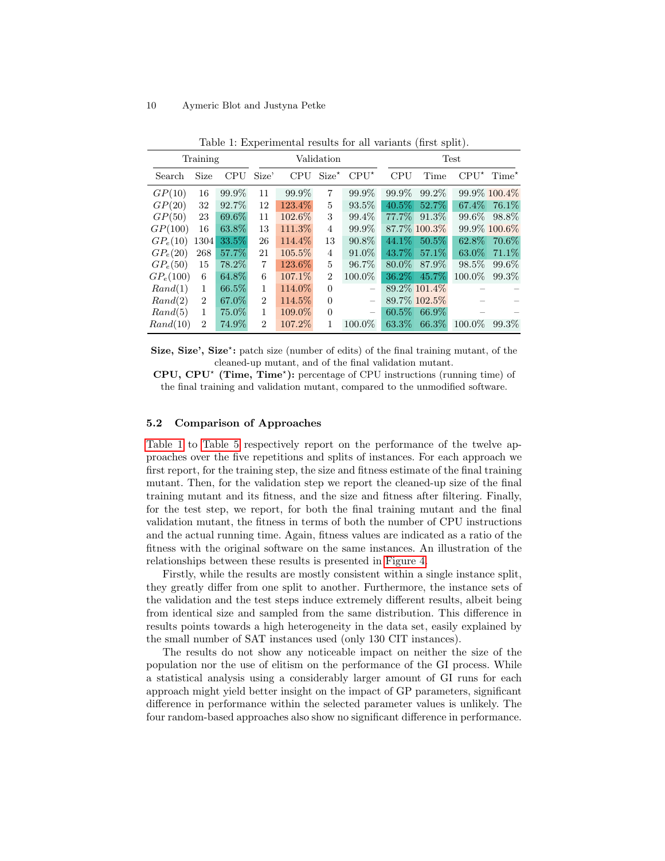<span id="page-9-0"></span>

|             | Training       |            |                |            | Validation     |                          | Test       |                |         |                |  |
|-------------|----------------|------------|----------------|------------|----------------|--------------------------|------------|----------------|---------|----------------|--|
| Search      | <b>Size</b>    | <b>CPU</b> | Size'          | <b>CPU</b> | $Size^{\star}$ | $CPI^{\star}$            | <b>CPU</b> | Time           | $CPU^*$ | $Time^{\star}$ |  |
| GP(10)      | 16             | 99.9%      | 11             | 99.9%      | 7              | 99.9%                    | 99.9%      | 99.2%          |         | 99.9% 100.4%   |  |
| GP(20)      | 32             | 92.7%      | 12             | 123.4%     | 5              | 93.5%                    | $40.5\%$   | 52.7%          | 67.4\%  | 76.1\%         |  |
| GP(50)      | 23             | 69.6%      | 11             | $102.6\%$  | 3              | 99.4%                    | 77.7%      | 91.3\%         | 99.6%   | 98.8%          |  |
| GP(100)     | 16             | 63.8%      | 13             | 111.3%     | $\overline{4}$ | 99.9%                    |            | 87.7% 100.3%   |         | 99.9% 100.6%   |  |
| $GP_e(10)$  | 1304           | 33.5%      | 26             | 114.4\%    | 13             | 90.8%                    | $44.1\%$   | $50.5\%$       | 62.8%   | 70.6\%         |  |
| $GP_e(20)$  | 268            | 57.7%      | 21             | $105.5\%$  | 4              | 91.0%                    | 43.7\%     | 57.1\%         | 63.0%   | 71.1\%         |  |
| $GP_e(50)$  | 15             | 78.2%      | 7              | 123.6%     | 5              | 96.7%                    | 80.0%      | 87.9%          | 98.5%   | 99.6%          |  |
| $GP_e(100)$ | 6              | 64.8%      | 6              | $107.1\%$  | $\overline{2}$ | $100.0\%$                | $36.2\%$   | 45.7%          | 100.0%  | 99.3%          |  |
| Rand(1)     | 1              | 66.5%      | 1              | 114.0%     | $\overline{0}$ | $\overline{\phantom{m}}$ |            | 89.2\% 101.4\% |         |                |  |
| Rand(2)     | $\overline{2}$ | 67.0%      | $\overline{2}$ | 114.5%     | $\theta$       | $\overline{\phantom{m}}$ |            | 89.7% 102.5%   |         |                |  |
| Rand(5)     | 1              | 75.0%      | 1              | 109.0%     | $\theta$       | $\overline{\phantom{a}}$ | $60.5\%$   | 66.9%          |         |                |  |
| Rand(10)    | 2              | 74.9%      | $\overline{2}$ | 107.2%     | 1              | 100.0%                   | 63.3%      | 66.3%          | 100.0%  | $99.3\%$       |  |

Table 1: Experimental results for all variants (first split).

Size, Size', Size<sup>\*</sup>: patch size (number of edits) of the final training mutant, of the cleaned-up mutant, and of the final validation mutant.

 $CPU, CPU^*$  (Time, Time<sup>\*</sup>): percentage of CPU instructions (running time) of the final training and validation mutant, compared to the unmodified software.

### 5.2 Comparison of Approaches

[Table 1](#page-9-0) to [Table 5](#page-11-0) respectively report on the performance of the twelve approaches over the five repetitions and splits of instances. For each approach we first report, for the training step, the size and fitness estimate of the final training mutant. Then, for the validation step we report the cleaned-up size of the final training mutant and its fitness, and the size and fitness after filtering. Finally, for the test step, we report, for both the final training mutant and the final validation mutant, the fitness in terms of both the number of CPU instructions and the actual running time. Again, fitness values are indicated as a ratio of the fitness with the original software on the same instances. An illustration of the relationships between these results is presented in [Figure 4.](#page-12-0)

Firstly, while the results are mostly consistent within a single instance split, they greatly differ from one split to another. Furthermore, the instance sets of the validation and the test steps induce extremely different results, albeit being from identical size and sampled from the same distribution. This difference in results points towards a high heterogeneity in the data set, easily explained by the small number of SAT instances used (only 130 CIT instances).

The results do not show any noticeable impact on neither the size of the population nor the use of elitism on the performance of the GI process. While a statistical analysis using a considerably larger amount of GI runs for each approach might yield better insight on the impact of GP parameters, significant difference in performance within the selected parameter values is unlikely. The four random-based approaches also show no significant difference in performance.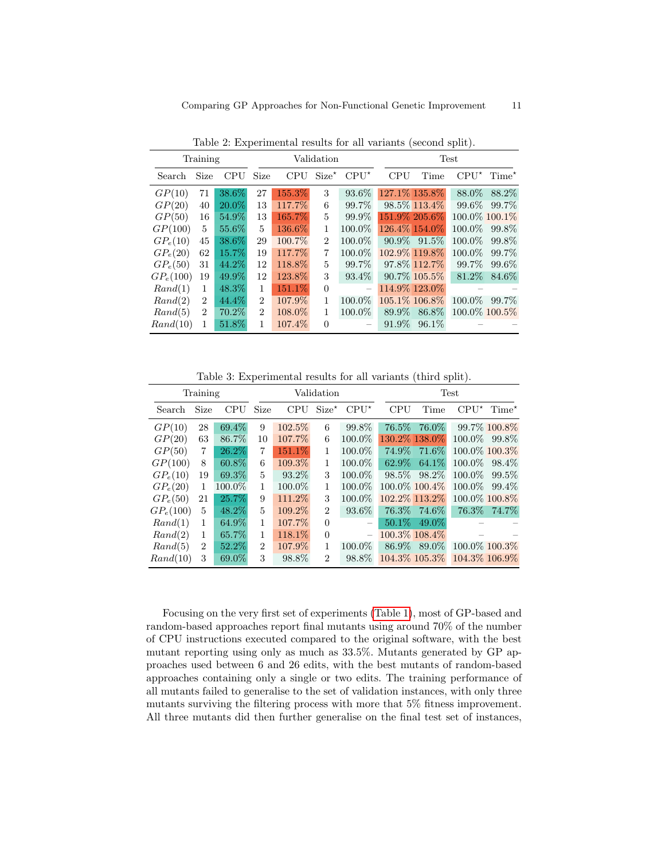| Training    |                |        |                | Validation |                             | <b>Test</b>              |               |                 |           |                |
|-------------|----------------|--------|----------------|------------|-----------------------------|--------------------------|---------------|-----------------|-----------|----------------|
| Search      | <b>Size</b>    | CPU    | <b>Size</b>    | <b>CPU</b> | $Size^*$                    | $CPI^{\star}$            | <b>CPU</b>    | <b>Time</b>     | $CPU^*$   | $Time^{\star}$ |
| GP(10)      | 71             | 38.6%  | 27             | 155.3%     | 3                           | 93.6%                    |               | 127.1% 135.8%   | 88.0%     | 88.2%          |
| GP(20)      | 40             | 20.0%  | 13             | 117.7%     | 6                           | 99.7%                    |               | 98.5\% 113.4\%  | 99.6%     | 99.7%          |
| GP(50)      | 16             | 54.9%  | 13             | 165.7%     | 5                           | 99.9%                    | 151.9% 205.6% |                 |           | 100.0% 100.1%  |
| GP(100)     | 5              | 55.6%  | 5              | 136.6%     | 1                           | 100.0%                   | 126.4% 154.0% |                 | 100.0%    | 99.8%          |
| $GP_e(10)$  | 45             | 38.6%  | 29             | 100.7%     | $\mathcal{D}_{\mathcal{L}}$ | $100.0\%$                | $90.9\%$      | $91.5\%$        | $100.0\%$ | 99.8%          |
| $GP_e(20)$  | 62             | 15.7%  | 19             | 117.7%     | $\overline{7}$              | 100.0%                   | 102.9% 119.8% |                 | 100.0%    | 99.7%          |
| $GP_e(50)$  | 31             | 44.2%  | 12             | 118.8%     | 5                           | 99.7%                    |               | 97.8% 112.7%    | 99.7%     | 99.6%          |
| $GP_e(100)$ | 19             | 49.9%  | 12             | 123.8%     | 3                           | 93.4\%                   |               | $90.7\%$ 105.5% | 81.2%     | 84.6%          |
| Rand(1)     | 1              | 48.3%  | $\mathbf{1}$   | 151.1%     | $\Omega$                    | $\overline{\phantom{a}}$ | 114.9% 123.0% |                 |           |                |
| Rand(2)     | $\overline{2}$ | 44.4\% | $\overline{2}$ | 107.9%     | 1                           | 100.0%                   | 105.1% 106.8% |                 | $100.0\%$ | 99.7%          |
| Rand(5)     | $\overline{2}$ | 70.2\% | $\overline{2}$ | 108.0%     | 1                           | $100.0\%$                | 89.9%         | 86.8%           |           | 100.0% 100.5%  |
| Rand(10)    | 1              | 51.8%  | 1              | 107.4%     | $\overline{0}$              |                          | 91.9%         | $96.1\%$        |           |                |

Table 2: Experimental results for all variants (second split).

Table 3: Experimental results for all variants (third split).

<span id="page-10-0"></span>

| Training    |                |            |      | Validation |                | <b>Test</b>              |            |                 |               |                |
|-------------|----------------|------------|------|------------|----------------|--------------------------|------------|-----------------|---------------|----------------|
| Search      | Size           | <b>CPU</b> | Size | <b>CPU</b> | $Size^*$       | $CPU^*$                  | <b>CPU</b> | Time            | $CPU^*$       | $Time^{\star}$ |
| GP(10)      | 28             | 69.4%      | 9    | 102.5%     | 6              | 99.8%                    | 76.5%      | 76.0%           |               | 99.7% 100.8%   |
| GP(20)      | 63             | 86.7%      | 10   | 107.7%     | 6              | 100.0%                   |            | 130.2\% 138.0\% | $100.0\%$     | 99.8%          |
| GP(50)      | 7              | 26.2\%     | 7    | 151.1%     | 1              | $100.0\%$                | 74.9%      | 71.6%           | 100.0% 100.3% |                |
| GP(100)     | 8              | 60.8%      | 6    | 109.3%     | 1              | $100.0\%$                | 62.9%      | 64.1\%          | 100.0%        | 98.4\%         |
| $GP_e(10)$  | 19             | 69.3%      | 5    | 93.2%      | 3              | $100.0\%$                | 98.5%      | 98.2%           | 100.0%        | 99.5%          |
| $GP_e(20)$  | 1              | $100.0\%$  | 1    | $100.0\%$  | 1              | $100.0\%$                |            | 100.0% 100.4%   | $100.0\%$     | 99.4\%         |
| $GP_e(50)$  | 21             | 25.7%      | 9    | 111.2\%    | 3              | 100.0%                   |            | 102.2\% 113.2\% | 100.0% 100.8% |                |
| $GP_e(100)$ | 5              | 48.2\%     | 5    | 109.2%     | $\overline{2}$ | 93.6%                    | 76.3%      | 74.6%           | 76.3%         | 74.7%          |
| Rand(1)     | 1              | 64.9%      | 1    | 107.7%     | $\overline{0}$ |                          | $50.1\%$   | 49.0%           |               |                |
| Rand(2)     | 1              | 65.7%      | 1    | 118.1%     | $\theta$       | $\overline{\phantom{0}}$ |            | 100.3% 108.4%   |               |                |
| Rand(5)     | $\overline{2}$ | 52.2\%     | 2    | 107.9%     | 1              | $100.0\%$                | 86.9%      | 89.0%           | 100.0% 100.3% |                |
| Rand(10)    | 3              | 69.0%      | 3    | 98.8%      | $\overline{2}$ | 98.8%                    |            | 104.3\% 105.3\% | 104.3% 106.9% |                |

Focusing on the very first set of experiments [\(Table 1\)](#page-9-0), most of GP-based and random-based approaches report final mutants using around 70% of the number of CPU instructions executed compared to the original software, with the best mutant reporting using only as much as 33.5%. Mutants generated by GP approaches used between 6 and 26 edits, with the best mutants of random-based approaches containing only a single or two edits. The training performance of all mutants failed to generalise to the set of validation instances, with only three mutants surviving the filtering process with more that 5% fitness improvement. All three mutants did then further generalise on the final test set of instances,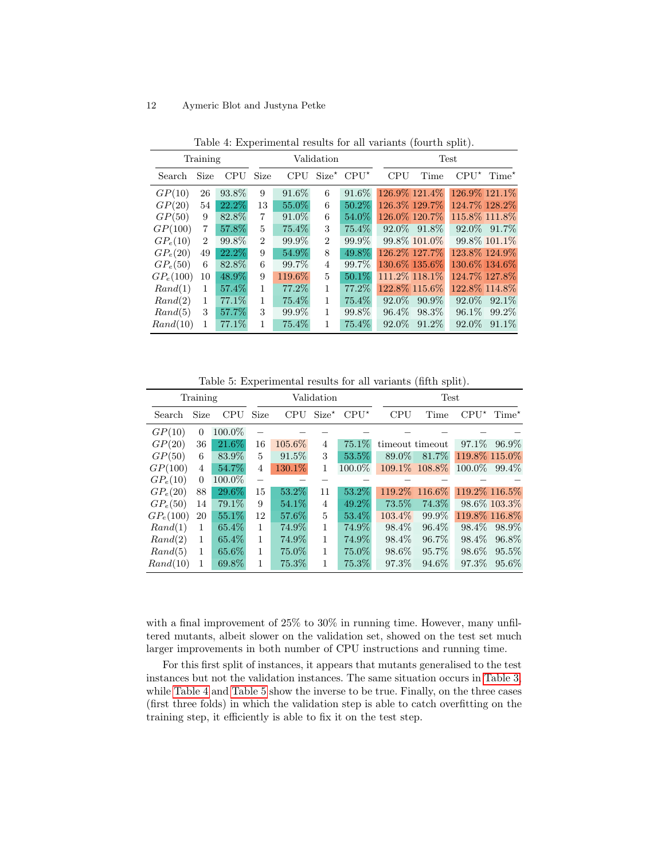<span id="page-11-1"></span>

|             | Training       |            |                |            | Validation     |               | Test          |              |               |                |  |
|-------------|----------------|------------|----------------|------------|----------------|---------------|---------------|--------------|---------------|----------------|--|
| Search      | <b>Size</b>    | <b>CPU</b> | <b>Size</b>    | <b>CPU</b> | $Size^{\star}$ | $\text{CPU*}$ | <b>CPU</b>    | Time         | $CPU^*$       | $Time^{\star}$ |  |
| GP(10)      | 26             | 93.8%      | 9              | 91.6%      | 6              | 91.6%         | 126.9% 121.4% |              | 126.9% 121.1% |                |  |
| GP(20)      | 54             | $22.2\%$   | 13             | 55.0%      | 6              | 50.2%         | 126.3% 129.7% |              | 124.7% 128.2% |                |  |
| GP(50)      | 9              | 82.8%      | 7              | 91.0%      | 6              | 54.0%         | 126.0% 120.7% |              | 115.8% 111.8% |                |  |
| GP(100)     | 7              | 57.8%      | $\mathbf{5}$   | 75.4%      | 3              | 75.4%         | $92.0\%$      | $91.8\%$     | $92.0\%$      | 91.7\%         |  |
| $GP_e(10)$  | $\overline{2}$ | 99.8%      | $\overline{2}$ | 99.9%      | $\overline{2}$ | 99.9%         |               | 99.8% 101.0% |               | 99.8% 101.1%   |  |
| $GP_e(20)$  | 49             | $22.2\%$   | 9              | 54.9%      | 8              | 49.8%         | 126.2% 127.7% |              |               | 123.8% 124.9%  |  |
| $GP_e(50)$  | 6              | 82.8%      | 6              | 99.7%      | $\overline{4}$ | 99.7%         | 130.6% 135.6% |              |               | 130.6% 134.6%  |  |
| $GP_e(100)$ | 10             | 48.9%      | 9              | 119.6%     | 5              | 50.1%         | 111.2% 118.1% |              |               | 124.7% 127.8%  |  |
| Rand(1)     | 1              | 57.4%      | 1              | 77.2%      | $\mathbf{1}$   | 77.2%         | 122.8% 115.6% |              | 122.8% 114.8% |                |  |
| Rand(2)     | 1              | 77.1\%     | 1              | 75.4%      | $\mathbf{1}$   | 75.4%         | 92.0%         | $90.9\%$     | 92.0%         | $92.1\%$       |  |
| Rand(5)     | 3              | 57.7%      | 3              | 99.9%      | $\mathbf{1}$   | 99.8%         | $96.4\%$      | 98.3%        | 96.1\%        | 99.2%          |  |
| Rand(10)    | 1              | 77.1\%     |                | 75.4%      | 1              | 75.4\%        | $92.0\%$      | 91.2%        | 92.0%         | 91.1\%         |  |

Table 4: Experimental results for all variants (fourth split).

Table 5: Experimental results for all variants (fifth split).

<span id="page-11-0"></span>

|             | Training       |            |                          |            | Validation     |           | Test       |                 |               |                |
|-------------|----------------|------------|--------------------------|------------|----------------|-----------|------------|-----------------|---------------|----------------|
| Search      | Size           | <b>CPU</b> | Size                     | <b>CPU</b> | $Size^{\star}$ | $CPU^*$   | <b>CPU</b> | Time            | $CPU^*$       | $Time^{\star}$ |
| GP(10)      | 0              | 100.0%     |                          |            |                |           |            |                 |               |                |
| GP(20)      | 36             | 21.6\%     | 16                       | $105.6\%$  | $\overline{4}$ | 75.1\%    |            | timeout timeout | 97.1\%        | 96.9%          |
| GP(50)      | 6              | 83.9%      | 5                        | $91.5\%$   | 3              | 53.5%     | 89.0%      | 81.7%           | 119.8% 115.0% |                |
| GP(100)     | 4              | 54.7%      | $\overline{4}$           | 130.1\%    | 1              | $100.0\%$ | $109.1\%$  | 108.8%          | 100.0%        | 99.4%          |
| $GP_e(10)$  | $\overline{0}$ | $100.0\%$  | $\overline{\phantom{0}}$ |            |                |           |            |                 |               |                |
| $GP_e(20)$  | 88             | 29.6\%     | 15                       | 53.2%      | 11             | 53.2%     | 119.2%     | 116.6%          | 119.2% 116.5% |                |
| $GP_e(50)$  | 14             | 79.1\%     | 9                        | 54.1\%     | $\overline{4}$ | $49.2\%$  | 73.5%      | 74.3%           |               | 98.6% 103.3%   |
| $GP_e(100)$ | 20             | 55.1\%     | 12                       | 57.6%      | 5              | 53.4\%    | $103.4\%$  | 99.9%           | 119.8% 116.8% |                |
| Rand(1)     | $\mathbf{1}$   | 65.4\%     | 1                        | 74.9%      | 1              | 74.9%     | 98.4\%     | $96.4\%$        | 98.4%         | 98.9%          |
| Rand(2)     | $\mathbf{1}$   | 65.4\%     | 1                        | 74.9%      | 1              | 74.9%     | 98.4\%     | $96.7\%$        | 98.4\%        | 96.8%          |
| Rand(5)     | $\mathbf{1}$   | 65.6%      | 1                        | 75.0%      | 1              | 75.0%     | 98.6\%     | $95.7\%$        | 98.6%         | 95.5%          |
| Rand(10)    | 1              | 69.8%      | 1                        | 75.3%      | 1              | $75.3\%$  | 97.3%      | 94.6\%          | 97.3%         | 95.6%          |

with a final improvement of 25% to 30% in running time. However, many unfiltered mutants, albeit slower on the validation set, showed on the test set much larger improvements in both number of CPU instructions and running time.

For this first split of instances, it appears that mutants generalised to the test instances but not the validation instances. The same situation occurs in [Table 3,](#page-10-0) while [Table 4](#page-11-1) and [Table 5](#page-11-0) show the inverse to be true. Finally, on the three cases (first three folds) in which the validation step is able to catch overfitting on the training step, it efficiently is able to fix it on the test step.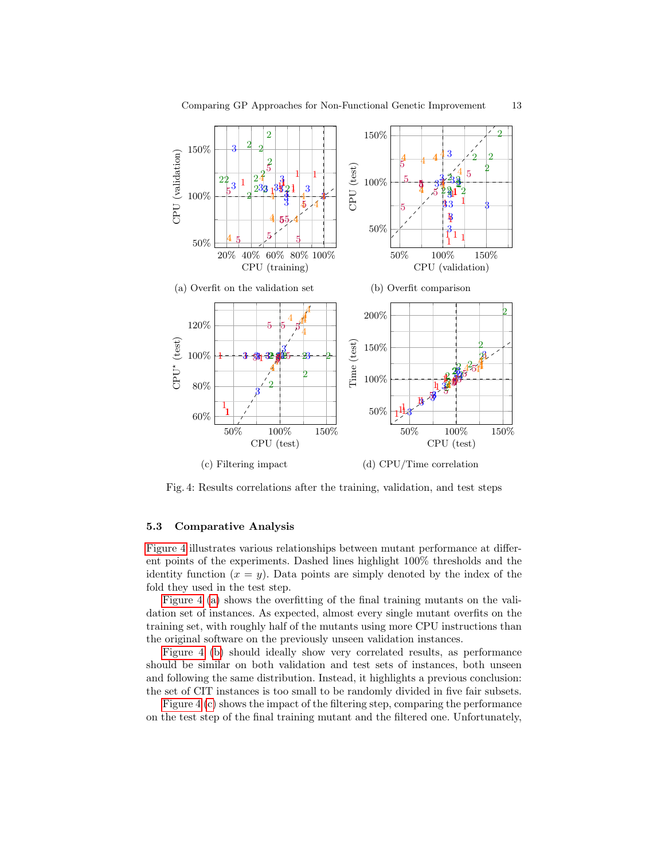<span id="page-12-0"></span>

Fig. 4: Results correlations after the training, validation, and test steps

### 5.3 Comparative Analysis

[Figure 4](#page-12-0) illustrates various relationships between mutant performance at different points of the experiments. Dashed lines highlight 100% thresholds and the identity function  $(x = y)$ . Data points are simply denoted by the index of the fold they used in the test step.

[Figure 4](#page-12-0) [\(a\)](#page-12-0) shows the overfitting of the final training mutants on the validation set of instances. As expected, almost every single mutant overfits on the training set, with roughly half of the mutants using more CPU instructions than the original software on the previously unseen validation instances.

[Figure 4](#page-12-0) [\(b\)](#page-12-0) should ideally show very correlated results, as performance should be similar on both validation and test sets of instances, both unseen and following the same distribution. Instead, it highlights a previous conclusion: the set of CIT instances is too small to be randomly divided in five fair subsets.

[Figure 4](#page-12-0) [\(c\)](#page-12-0) shows the impact of the filtering step, comparing the performance on the test step of the final training mutant and the filtered one. Unfortunately,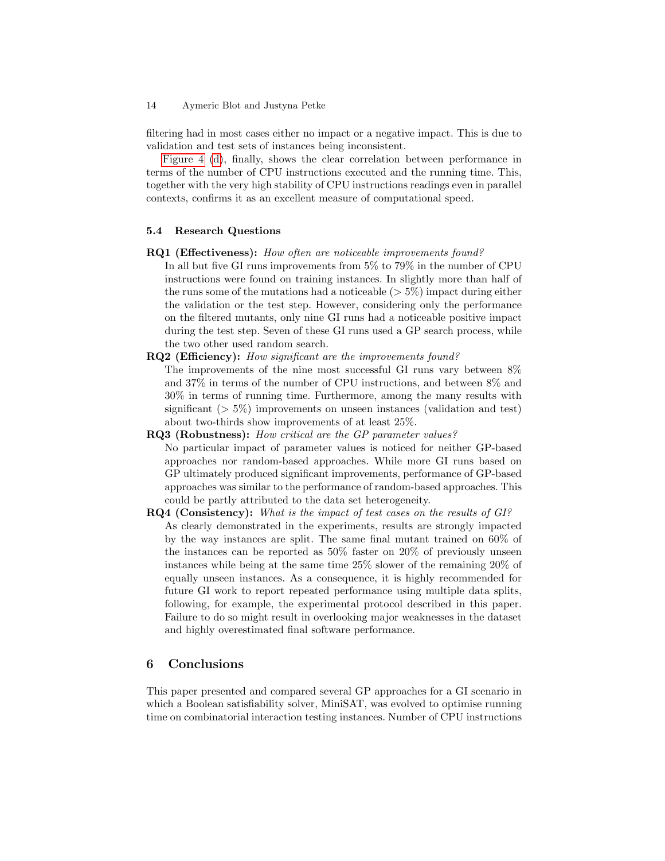filtering had in most cases either no impact or a negative impact. This is due to validation and test sets of instances being inconsistent.

[Figure 4](#page-12-0) [\(d\)](#page-12-0), finally, shows the clear correlation between performance in terms of the number of CPU instructions executed and the running time. This, together with the very high stability of CPU instructions readings even in parallel contexts, confirms it as an excellent measure of computational speed.

### 5.4 Research Questions

- RQ1 (Effectiveness): How often are noticeable improvements found?
	- In all but five GI runs improvements from 5% to 79% in the number of CPU instructions were found on training instances. In slightly more than half of the runs some of the mutations had a noticeable  $(>5\%)$  impact during either the validation or the test step. However, considering only the performance on the filtered mutants, only nine GI runs had a noticeable positive impact during the test step. Seven of these GI runs used a GP search process, while the two other used random search.
- RQ2 (Efficiency): How significant are the improvements found?
	- The improvements of the nine most successful GI runs vary between 8% and 37% in terms of the number of CPU instructions, and between 8% and 30% in terms of running time. Furthermore, among the many results with significant  $($  > 5 $\%$ ) improvements on unseen instances (validation and test) about two-thirds show improvements of at least 25%.
- RQ3 (Robustness): How critical are the GP parameter values?

No particular impact of parameter values is noticed for neither GP-based approaches nor random-based approaches. While more GI runs based on GP ultimately produced significant improvements, performance of GP-based approaches was similar to the performance of random-based approaches. This could be partly attributed to the data set heterogeneity.

RQ4 (Consistency): What is the impact of test cases on the results of GI? As clearly demonstrated in the experiments, results are strongly impacted by the way instances are split. The same final mutant trained on 60% of the instances can be reported as 50% faster on 20% of previously unseen instances while being at the same time 25% slower of the remaining 20% of equally unseen instances. As a consequence, it is highly recommended for future GI work to report repeated performance using multiple data splits, following, for example, the experimental protocol described in this paper. Failure to do so might result in overlooking major weaknesses in the dataset and highly overestimated final software performance.

# <span id="page-13-0"></span>6 Conclusions

This paper presented and compared several GP approaches for a GI scenario in which a Boolean satisfiability solver, MiniSAT, was evolved to optimise running time on combinatorial interaction testing instances. Number of CPU instructions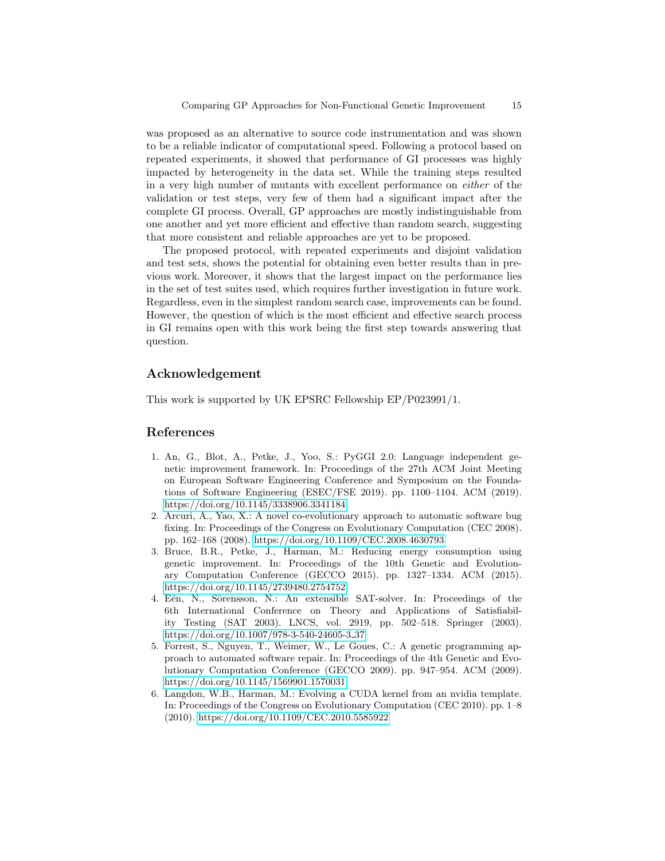was proposed as an alternative to source code instrumentation and was shown to be a reliable indicator of computational speed. Following a protocol based on repeated experiments, it showed that performance of GI processes was highly impacted by heterogeneity in the data set. While the training steps resulted in a very high number of mutants with excellent performance on either of the validation or test steps, very few of them had a significant impact after the complete GI process. Overall, GP approaches are mostly indistinguishable from one another and yet more efficient and effective than random search, suggesting that more consistent and reliable approaches are yet to be proposed.

The proposed protocol, with repeated experiments and disjoint validation and test sets, shows the potential for obtaining even better results than in previous work. Moreover, it shows that the largest impact on the performance lies in the set of test suites used, which requires further investigation in future work. Regardless, even in the simplest random search case, improvements can be found. However, the question of which is the most efficient and effective search process in GI remains open with this work being the first step towards answering that question.

# Acknowledgement

This work is supported by UK EPSRC Fellowship EP/P023991/1.

# References

- <span id="page-14-2"></span>1. An, G., Blot, A., Petke, J., Yoo, S.: PyGGI 2.0: Language independent genetic improvement framework. In: Proceedings of the 27th ACM Joint Meeting on European Software Engineering Conference and Symposium on the Foundations of Software Engineering (ESEC/FSE 2019). pp. 1100–1104. ACM (2019). <https://doi.org/10.1145/3338906.3341184>
- <span id="page-14-4"></span>2. Arcuri, A., Yao, X.: A novel co-evolutionary approach to automatic software bug fixing. In: Proceedings of the Congress on Evolutionary Computation (CEC 2008). pp. 162–168 (2008).<https://doi.org/10.1109/CEC.2008.4630793>
- <span id="page-14-0"></span>3. Bruce, B.R., Petke, J., Harman, M.: Reducing energy consumption using genetic improvement. In: Proceedings of the 10th Genetic and Evolutionary Computation Conference (GECCO 2015). pp. 1327–1334. ACM (2015). <https://doi.org/10.1145/2739480.2754752>
- <span id="page-14-1"></span>4. Eén, N., Sörensson, N.: An extensible SAT-solver. In: Proceedings of the 6th International Conference on Theory and Applications of Satisfiability Testing (SAT 2003). LNCS, vol. 2919, pp. 502–518. Springer (2003). [https://doi.org/10.1007/978-3-540-24605-3](https://doi.org/10.1007/978-3-540-24605-3_37) 37
- <span id="page-14-5"></span>5. Forrest, S., Nguyen, T., Weimer, W., Le Goues, C.: A genetic programming approach to automated software repair. In: Proceedings of the 4th Genetic and Evolutionary Computation Conference (GECCO 2009). pp. 947–954. ACM (2009). <https://doi.org/10.1145/1569901.1570031>
- <span id="page-14-3"></span>6. Langdon, W.B., Harman, M.: Evolving a CUDA kernel from an nvidia template. In: Proceedings of the Congress on Evolutionary Computation (CEC 2010). pp. 1–8 (2010).<https://doi.org/10.1109/CEC.2010.5585922>